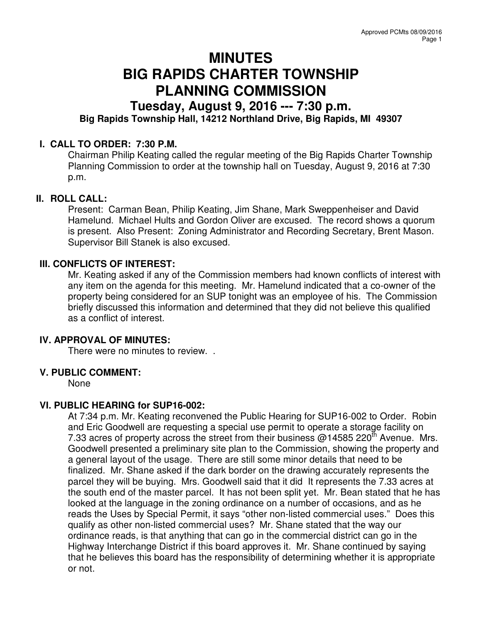# **MINUTES BIG RAPIDS CHARTER TOWNSHIP PLANNING COMMISSION**

## **Tuesday, August 9, 2016 --- 7:30 p.m. Big Rapids Township Hall, 14212 Northland Drive, Big Rapids, MI 49307**

### **I. CALL TO ORDER: 7:30 P.M.**

Chairman Philip Keating called the regular meeting of the Big Rapids Charter Township Planning Commission to order at the township hall on Tuesday, August 9, 2016 at 7:30 p.m.

#### **II. ROLL CALL:**

Present: Carman Bean, Philip Keating, Jim Shane, Mark Sweppenheiser and David Hamelund. Michael Hults and Gordon Oliver are excused. The record shows a quorum is present. Also Present: Zoning Administrator and Recording Secretary, Brent Mason. Supervisor Bill Stanek is also excused.

#### **III. CONFLICTS OF INTEREST:**

Mr. Keating asked if any of the Commission members had known conflicts of interest with any item on the agenda for this meeting. Mr. Hamelund indicated that a co-owner of the property being considered for an SUP tonight was an employee of his. The Commission briefly discussed this information and determined that they did not believe this qualified as a conflict of interest.

#### **IV. APPROVAL OF MINUTES:**

There were no minutes to review. .

#### **V. PUBLIC COMMENT:**

None

#### **VI. PUBLIC HEARING for SUP16-002:**

At 7:34 p.m. Mr. Keating reconvened the Public Hearing for SUP16-002 to Order. Robin and Eric Goodwell are requesting a special use permit to operate a storage facility on 7.33 acres of property across the street from their business  $@14585$  220<sup>th</sup> Avenue. Mrs. Goodwell presented a preliminary site plan to the Commission, showing the property and a general layout of the usage. There are still some minor details that need to be finalized. Mr. Shane asked if the dark border on the drawing accurately represents the parcel they will be buying. Mrs. Goodwell said that it did It represents the 7.33 acres at the south end of the master parcel. It has not been split yet. Mr. Bean stated that he has looked at the language in the zoning ordinance on a number of occasions, and as he reads the Uses by Special Permit, it says "other non-listed commercial uses." Does this qualify as other non-listed commercial uses? Mr. Shane stated that the way our ordinance reads, is that anything that can go in the commercial district can go in the Highway Interchange District if this board approves it. Mr. Shane continued by saying that he believes this board has the responsibility of determining whether it is appropriate or not.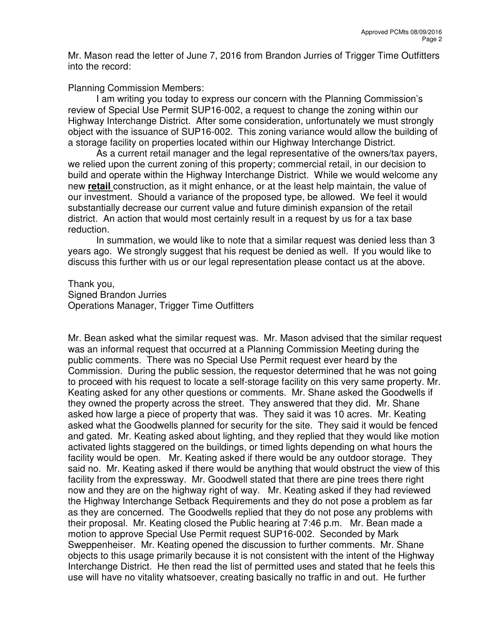Mr. Mason read the letter of June 7, 2016 from Brandon Jurries of Trigger Time Outfitters into the record:

Planning Commission Members:

I am writing you today to express our concern with the Planning Commission's review of Special Use Permit SUP16-002, a request to change the zoning within our Highway Interchange District. After some consideration, unfortunately we must strongly object with the issuance of SUP16-002. This zoning variance would allow the building of a storage facility on properties located within our Highway Interchange District.

As a current retail manager and the legal representative of the owners/tax payers, we relied upon the current zoning of this property; commercial retail, in our decision to build and operate within the Highway Interchange District. While we would welcome any new **retail** construction, as it might enhance, or at the least help maintain, the value of our investment. Should a variance of the proposed type, be allowed. We feel it would substantially decrease our current value and future diminish expansion of the retail district. An action that would most certainly result in a request by us for a tax base reduction.

In summation, we would like to note that a similar request was denied less than 3 years ago. We strongly suggest that his request be denied as well. If you would like to discuss this further with us or our legal representation please contact us at the above.

Thank you, Signed Brandon Jurries Operations Manager, Trigger Time Outfitters

Mr. Bean asked what the similar request was. Mr. Mason advised that the similar request was an informal request that occurred at a Planning Commission Meeting during the public comments. There was no Special Use Permit request ever heard by the Commission. During the public session, the requestor determined that he was not going to proceed with his request to locate a self-storage facility on this very same property. Mr. Keating asked for any other questions or comments. Mr. Shane asked the Goodwells if they owned the property across the street. They answered that they did. Mr. Shane asked how large a piece of property that was. They said it was 10 acres. Mr. Keating asked what the Goodwells planned for security for the site. They said it would be fenced and gated. Mr. Keating asked about lighting, and they replied that they would like motion activated lights staggered on the buildings, or timed lights depending on what hours the facility would be open. Mr. Keating asked if there would be any outdoor storage. They said no. Mr. Keating asked if there would be anything that would obstruct the view of this facility from the expressway. Mr. Goodwell stated that there are pine trees there right now and they are on the highway right of way. Mr. Keating asked if they had reviewed the Highway Interchange Setback Requirements and they do not pose a problem as far as they are concerned. The Goodwells replied that they do not pose any problems with their proposal. Mr. Keating closed the Public hearing at 7:46 p.m. Mr. Bean made a motion to approve Special Use Permit request SUP16-002. Seconded by Mark Sweppenheiser. Mr. Keating opened the discussion to further comments. Mr. Shane objects to this usage primarily because it is not consistent with the intent of the Highway Interchange District. He then read the list of permitted uses and stated that he feels this use will have no vitality whatsoever, creating basically no traffic in and out. He further